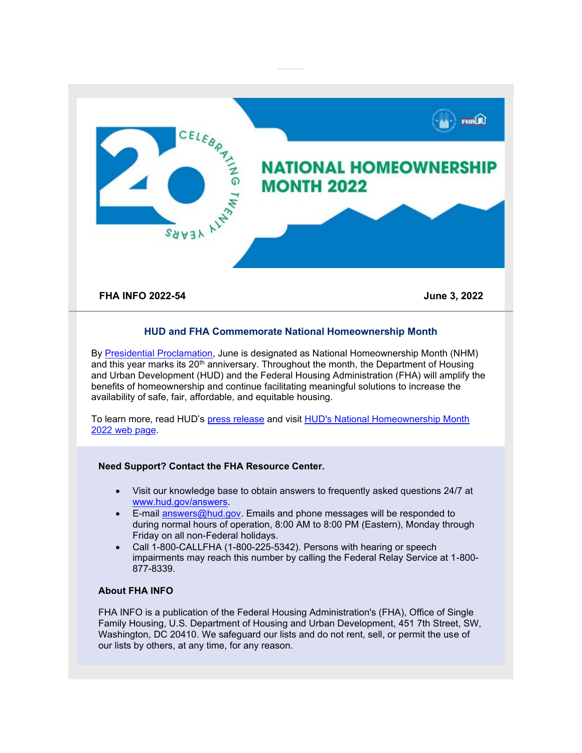

## **HUD and FHA Commemorate National Homeownership Month**

By [Presidential Proclamation,](https://lnks.gd/l/eyJhbGciOiJIUzI1NiJ9.eyJidWxsZXRpbl9saW5rX2lkIjoxMDAsInVyaSI6ImJwMjpjbGljayIsImJ1bGxldGluX2lkIjoiMjAyMjA2MDMuNTg4NzczMDEiLCJ1cmwiOiJodHRwczovL3d3dy53aGl0ZWhvdXNlLmdvdi9icmllZmluZy1yb29tL3ByZXNpZGVudGlhbC1hY3Rpb25zLzIwMjIvMDUvMzEvYS1wcm9jbGFtYXRpb24tb24tbmF0aW9uYWwtaG9tZW93bmVyc2hpcC1tb250aC0yMDIyLz91dG1fbWVkaXVtPWVtYWlsJnV0bV9zb3VyY2U9Z292ZGVsaXZlcnkifQ.XxxpqdxC_JWI8wqkVqZlYaAg6kCLrErHk3E7Cu9civ4/s/1842989479/br/132390626436-l) June is designated as National Homeownership Month (NHM) and this year marks its  $20<sup>th</sup>$  anniversary. Throughout the month, the Department of Housing and Urban Development (HUD) and the Federal Housing Administration (FHA) will amplify the benefits of homeownership and continue facilitating meaningful solutions to increase the availability of safe, fair, affordable, and equitable housing.

To learn more, read HUD's [press release](https://lnks.gd/l/eyJhbGciOiJIUzI1NiJ9.eyJidWxsZXRpbl9saW5rX2lkIjoxMDEsInVyaSI6ImJwMjpjbGljayIsImJ1bGxldGluX2lkIjoiMjAyMjA2MDMuNTg4NzczMDEiLCJ1cmwiOiJodHRwczovL3d3dy5odWQuZ292L3ByZXNzL3ByZXNzX3JlbGVhc2VzX21lZGlhX2Fkdmlzb3JpZXMvSFVEX05vXzIyXzEwND91dG1fbWVkaXVtPWVtYWlsJnV0bV9zb3VyY2U9Z292ZGVsaXZlcnkifQ.aQElizmBoTjFqsSShQmEmxMEna7yD-OFT84STheWr3Y/s/1842989479/br/132390626436-l) and visit [HUD's National Homeownership Month](https://lnks.gd/l/eyJhbGciOiJIUzI1NiJ9.eyJidWxsZXRpbl9saW5rX2lkIjoxMDIsInVyaSI6ImJwMjpjbGljayIsImJ1bGxldGluX2lkIjoiMjAyMjA2MDMuNTg4NzczMDEiLCJ1cmwiOiJodHRwczovL3d3dy5odWQuZ292L3Byb2dyYW1fb2ZmaWNlcy9ob3VzaW5nL3NmaC9zZmhfaG9tZW93bmVyc2hpcF9tb250aD91dG1fbWVkaXVtPWVtYWlsJnV0bV9zb3VyY2U9Z292ZGVsaXZlcnkifQ.U2hzwrj8l3yLeSVjViA9LBcRh6tV3JRFzeYA1pxKUiA/s/1842989479/br/132390626436-l)  2022 [web page.](https://lnks.gd/l/eyJhbGciOiJIUzI1NiJ9.eyJidWxsZXRpbl9saW5rX2lkIjoxMDIsInVyaSI6ImJwMjpjbGljayIsImJ1bGxldGluX2lkIjoiMjAyMjA2MDMuNTg4NzczMDEiLCJ1cmwiOiJodHRwczovL3d3dy5odWQuZ292L3Byb2dyYW1fb2ZmaWNlcy9ob3VzaW5nL3NmaC9zZmhfaG9tZW93bmVyc2hpcF9tb250aD91dG1fbWVkaXVtPWVtYWlsJnV0bV9zb3VyY2U9Z292ZGVsaXZlcnkifQ.U2hzwrj8l3yLeSVjViA9LBcRh6tV3JRFzeYA1pxKUiA/s/1842989479/br/132390626436-l)

## **Need Support? Contact the FHA Resource Center.**

- Visit our knowledge base to obtain answers to frequently asked questions 24/7 at [www.hud.gov/answers.](http://www.hud.gov/answers)
- E-mail [answers@hud.gov.](mailto:answers@hud.gov) Emails and phone messages will be responded to during normal hours of operation, 8:00 AM to 8:00 PM (Eastern), Monday through Friday on all non-Federal holidays.
- Call 1-800-CALLFHA (1-800-225-5342). Persons with hearing or speech impairments may reach this number by calling the Federal Relay Service at 1-800- 877-8339.

## **About FHA INFO**

FHA INFO is a publication of the Federal Housing Administration's (FHA), Office of Single Family Housing, U.S. Department of Housing and Urban Development, 451 7th Street, SW, Washington, DC 20410. We safeguard our lists and do not rent, sell, or permit the use of our lists by others, at any time, for any reason.